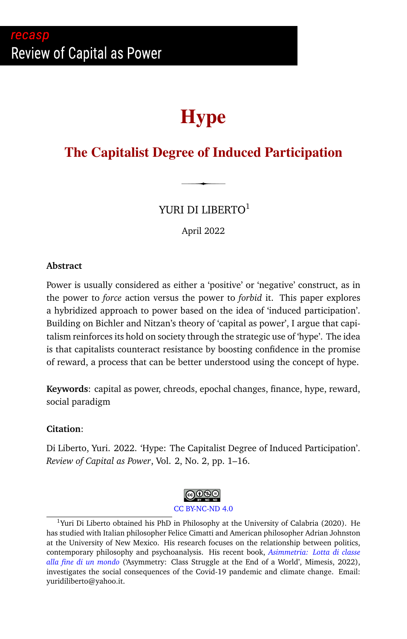# <span id="page-0-0"></span>recasp Review of Capital as Power

# **Hype**

# **The Capitalist Degree of Induced Participation**

YURI DI LIBERTO<sup>1</sup>

April 2022

#### **Abstract**

Power is usually considered as either a 'positive' or 'negative' construct, as in the power to *force* action versus the power to *forbid* it. This paper explores a hybridized approach to power based on the idea of 'induced participation'. Building on Bichler and Nitzan's theory of 'capital as power', I argue that capitalism reinforces its hold on society through the strategic use of 'hype'. The idea is that capitalists counteract resistance by boosting confidence in the promise of reward, a process that can be better understood using the concept of hype.

**Keywords**: capital as power, chreods, epochal changes, finance, hype, reward, social paradigm

#### **Citation**:

Di Liberto, Yuri. 2022. 'Hype: The Capitalist Degree of Induced Participation'. *Review of Capital as Power*, Vol. 2, No. 2, pp. 1–16.



<sup>&</sup>lt;sup>1</sup>Yuri Di Liberto obtained his PhD in Philosophy at the University of Calabria (2020). He has studied with Italian philosopher Felice Cimatti and American philosopher Adrian Johnston at the University of New Mexico. His research focuses on the relationship between politics, contemporary philosophy and psychoanalysis. His recent book, *[Asimmetria: Lotta di classe](https://www.mimesisedizioni.it/libro/9788857586182) [alla fine di un mondo](https://www.mimesisedizioni.it/libro/9788857586182)* ('Asymmetry: Class Struggle at the End of a World', Mimesis, 2022), investigates the social consequences of the Covid-19 pandemic and climate change. Email: yuridiliberto@yahoo.it.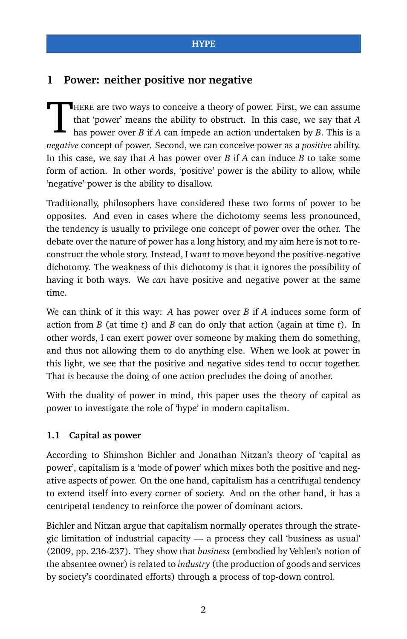# **1 Power: neither positive nor negative**

T HERE are two ways to conceive a theory of power. First, we can assume that 'power' means the ability to obstruct. In this case, we say that *A* has power over *B* if *A* can impede an action undertaken by *B*. This is a *negative* concept of power. Second, we can conceive power as a *positive* ability. In this case, we say that *A* has power over *B* if *A* can induce *B* to take some form of action. In other words, 'positive' power is the ability to allow, while 'negative' power is the ability to disallow.

Traditionally, philosophers have considered these two forms of power to be opposites. And even in cases where the dichotomy seems less pronounced, the tendency is usually to privilege one concept of power over the other. The debate over the nature of power has a long history, and my aim here is not to reconstruct the whole story. Instead, I want to move beyond the positive-negative dichotomy. The weakness of this dichotomy is that it ignores the possibility of having it both ways. We *can* have positive and negative power at the same time.

We can think of it this way: *A* has power over *B* if *A* induces some form of action from *B* (at time *t*) and *B* can do only that action (again at time *t*). In other words, I can exert power over someone by making them do something, and thus not allowing them to do anything else. When we look at power in this light, we see that the positive and negative sides tend to occur together. That is because the doing of one action precludes the doing of another.

With the duality of power in mind, this paper uses the theory of capital as power to investigate the role of 'hype' in modern capitalism.

## **1.1 Capital as power**

According to Shimshon Bichler and Jonathan Nitzan's theory of 'capital as power', capitalism is a 'mode of power' which mixes both the positive and negative aspects of power. On the one hand, capitalism has a centrifugal tendency to extend itself into every corner of society. And on the other hand, it has a centripetal tendency to reinforce the power of dominant actors.

Bichler and Nitzan argue that capitalism normally operates through the strategic limitation of industrial capacity — a process they call 'business as usual' (2009, pp. 236-237). They show that *business* (embodied by Veblen's notion of the absentee owner) is related to *industry* (the production of goods and services by society's coordinated efforts) through a process of top-down control.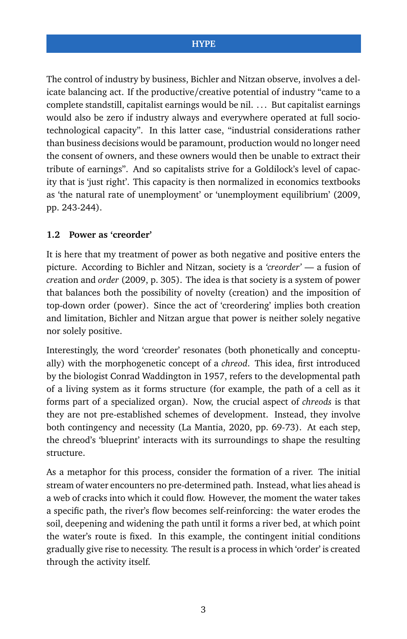The control of industry by business, Bichler and Nitzan observe, involves a delicate balancing act. If the productive/creative potential of industry "came to a complete standstill, capitalist earnings would be nil. . . . But capitalist earnings would also be zero if industry always and everywhere operated at full sociotechnological capacity". In this latter case, "industrial considerations rather than business decisions would be paramount, production would no longer need the consent of owners, and these owners would then be unable to extract their tribute of earnings". And so capitalists strive for a Goldilock's level of capacity that is 'just right'. This capacity is then normalized in economics textbooks as 'the natural rate of unemployment' or 'unemployment equilibrium' (2009, pp. 243-244).

#### **1.2 Power as 'creorder'**

It is here that my treatment of power as both negative and positive enters the picture. According to Bichler and Nitzan, society is a *'creorder'* — a fusion of *cre*ation and *order* (2009, p. 305). The idea is that society is a system of power that balances both the possibility of novelty (creation) and the imposition of top-down order (power). Since the act of 'creordering' implies both creation and limitation, Bichler and Nitzan argue that power is neither solely negative nor solely positive.

Interestingly, the word 'creorder' resonates (both phonetically and conceptually) with the morphogenetic concept of a *chreod*. This idea, first introduced by the biologist Conrad Waddington in 1957, refers to the developmental path of a living system as it forms structure (for example, the path of a cell as it forms part of a specialized organ). Now, the crucial aspect of *chreods* is that they are not pre-established schemes of development. Instead, they involve both contingency and necessity (La Mantia, 2020, pp. 69-73). At each step, the chreod's 'blueprint' interacts with its surroundings to shape the resulting structure.

As a metaphor for this process, consider the formation of a river. The initial stream of water encounters no pre-determined path. Instead, what lies ahead is a web of cracks into which it could flow. However, the moment the water takes a specific path, the river's flow becomes self-reinforcing: the water erodes the soil, deepening and widening the path until it forms a river bed, at which point the water's route is fixed. In this example, the contingent initial conditions gradually give rise to necessity. The result is a process in which 'order' is created through the activity itself.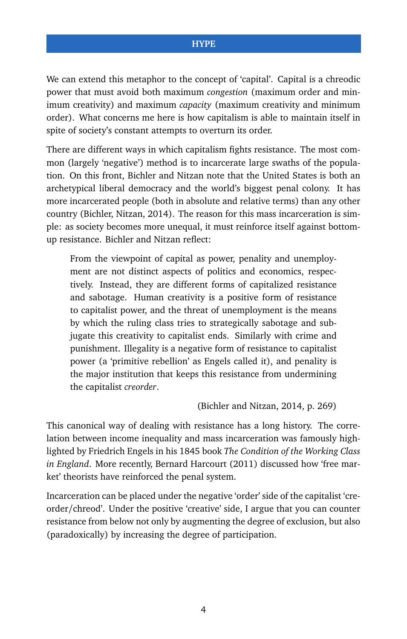We can extend this metaphor to the concept of 'capital'. Capital is a chreodic power that must avoid both maximum *congestion* (maximum order and minimum creativity) and maximum *capacity* (maximum creativity and minimum order). What concerns me here is how capitalism is able to maintain itself in spite of society's constant attempts to overturn its order.

There are different ways in which capitalism fights resistance. The most common (largely 'negative') method is to incarcerate large swaths of the population. On this front, Bichler and Nitzan note that the United States is both an archetypical liberal democracy and the world's biggest penal colony. It has more incarcerated people (both in absolute and relative terms) than any other country (Bichler, Nitzan, 2014). The reason for this mass incarceration is simple: as society becomes more unequal, it must reinforce itself against bottomup resistance. Bichler and Nitzan reflect:

From the viewpoint of capital as power, penality and unemployment are not distinct aspects of politics and economics, respectively. Instead, they are different forms of capitalized resistance and sabotage. Human creativity is a positive form of resistance to capitalist power, and the threat of unemployment is the means by which the ruling class tries to strategically sabotage and subjugate this creativity to capitalist ends. Similarly with crime and punishment. Illegality is a negative form of resistance to capitalist power (a 'primitive rebellion' as Engels called it), and penality is the major institution that keeps this resistance from undermining the capitalist *creorder*.

(Bichler and Nitzan, 2014, p. 269)

This canonical way of dealing with resistance has a long history. The correlation between income inequality and mass incarceration was famously highlighted by Friedrich Engels in his 1845 book *The Condition of the Working Class in England*. More recently, Bernard Harcourt (2011) discussed how 'free market' theorists have reinforced the penal system.

Incarceration can be placed under the negative 'order' side of the capitalist 'creorder/chreod'. Under the positive 'creative' side, I argue that you can counter resistance from below not only by augmenting the degree of exclusion, but also (paradoxically) by increasing the degree of participation.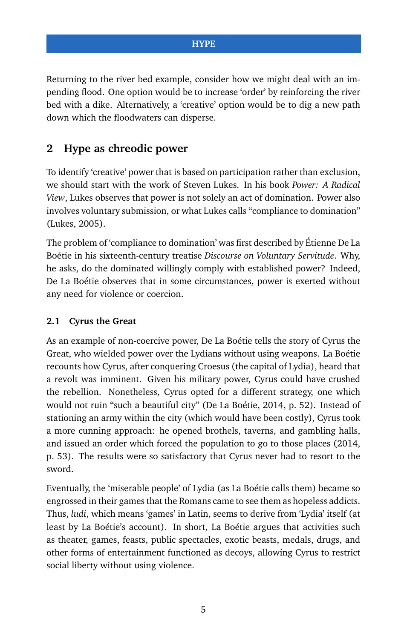Returning to the river bed example, consider how we might deal with an impending flood. One option would be to increase 'order' by reinforcing the river bed with a dike. Alternatively, a 'creative' option would be to dig a new path down which the floodwaters can disperse.

# **2 Hype as chreodic power**

To identify 'creative' power that is based on participation rather than exclusion, we should start with the work of Steven Lukes. In his book *Power: A Radical View*, Lukes observes that power is not solely an act of domination. Power also involves voluntary submission, or what Lukes calls "compliance to domination" (Lukes, 2005).

The problem of 'compliance to domination' was first described by Étienne De La Boétie in his sixteenth-century treatise *Discourse on Voluntary Servitude*. Why, he asks, do the dominated willingly comply with established power? Indeed, De La Boétie observes that in some circumstances, power is exerted without any need for violence or coercion.

# **2.1 Cyrus the Great**

As an example of non-coercive power, De La Boétie tells the story of Cyrus the Great, who wielded power over the Lydians without using weapons. La Boétie recounts how Cyrus, after conquering Croesus (the capital of Lydia), heard that a revolt was imminent. Given his military power, Cyrus could have crushed the rebellion. Nonetheless, Cyrus opted for a different strategy, one which would not ruin "such a beautiful city" (De La Boétie, 2014, p. 52). Instead of stationing an army within the city (which would have been costly), Cyrus took a more cunning approach: he opened brothels, taverns, and gambling halls, and issued an order which forced the population to go to those places (2014, p. 53). The results were so satisfactory that Cyrus never had to resort to the sword.

Eventually, the 'miserable people' of Lydia (as La Boétie calls them) became so engrossed in their games that the Romans came to see them as hopeless addicts. Thus, *ludi*, which means 'games' in Latin, seems to derive from 'Lydia' itself (at least by La Boétie's account). In short, La Boétie argues that activities such as theater, games, feasts, public spectacles, exotic beasts, medals, drugs, and other forms of entertainment functioned as decoys, allowing Cyrus to restrict social liberty without using violence.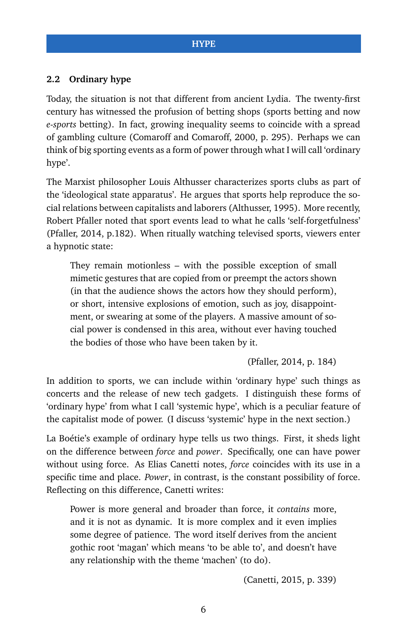#### **2.2 Ordinary hype**

Today, the situation is not that different from ancient Lydia. The twenty-first century has witnessed the profusion of betting shops (sports betting and now *e-sports* betting). In fact, growing inequality seems to coincide with a spread of gambling culture (Comaroff and Comaroff, 2000, p. 295). Perhaps we can think of big sporting events as a form of power through what I will call 'ordinary hype'.

The Marxist philosopher Louis Althusser characterizes sports clubs as part of the 'ideological state apparatus'. He argues that sports help reproduce the social relations between capitalists and laborers (Althusser, 1995). More recently, Robert Pfaller noted that sport events lead to what he calls 'self-forgetfulness' (Pfaller, 2014, p.182). When ritually watching televised sports, viewers enter a hypnotic state:

They remain motionless – with the possible exception of small mimetic gestures that are copied from or preempt the actors shown (in that the audience shows the actors how they should perform), or short, intensive explosions of emotion, such as joy, disappointment, or swearing at some of the players. A massive amount of social power is condensed in this area, without ever having touched the bodies of those who have been taken by it.

(Pfaller, 2014, p. 184)

In addition to sports, we can include within 'ordinary hype' such things as concerts and the release of new tech gadgets. I distinguish these forms of 'ordinary hype' from what I call 'systemic hype', which is a peculiar feature of the capitalist mode of power. (I discuss 'systemic' hype in the next section.)

La Boétie's example of ordinary hype tells us two things. First, it sheds light on the difference between *force* and *power*. Specifically, one can have power without using force. As Elias Canetti notes, *force* coincides with its use in a specific time and place. *Power*, in contrast, is the constant possibility of force. Reflecting on this difference, Canetti writes:

Power is more general and broader than force, it *contains* more, and it is not as dynamic. It is more complex and it even implies some degree of patience. The word itself derives from the ancient gothic root 'magan' which means 'to be able to', and doesn't have any relationship with the theme 'machen' (to do).

(Canetti, 2015, p. 339)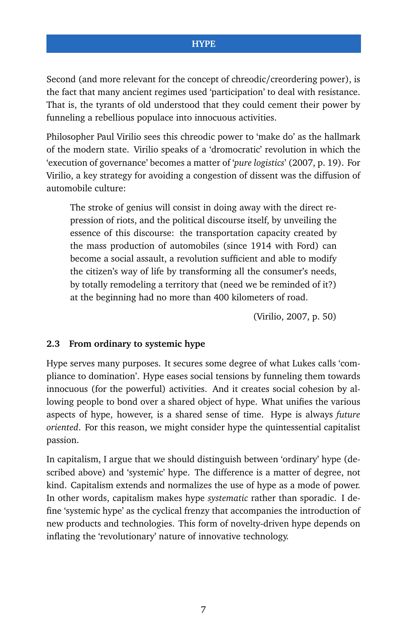Second (and more relevant for the concept of chreodic/creordering power), is the fact that many ancient regimes used 'participation' to deal with resistance. That is, the tyrants of old understood that they could cement their power by funneling a rebellious populace into innocuous activities.

Philosopher Paul Virilio sees this chreodic power to 'make do' as the hallmark of the modern state. Virilio speaks of a 'dromocratic' revolution in which the 'execution of governance' becomes a matter of '*pure logistics*' (2007, p. 19). For Virilio, a key strategy for avoiding a congestion of dissent was the diffusion of automobile culture:

The stroke of genius will consist in doing away with the direct repression of riots, and the political discourse itself, by unveiling the essence of this discourse: the transportation capacity created by the mass production of automobiles (since 1914 with Ford) can become a social assault, a revolution sufficient and able to modify the citizen's way of life by transforming all the consumer's needs, by totally remodeling a territory that (need we be reminded of it?) at the beginning had no more than 400 kilometers of road.

(Virilio, 2007, p. 50)

#### **2.3 From ordinary to systemic hype**

Hype serves many purposes. It secures some degree of what Lukes calls 'compliance to domination'. Hype eases social tensions by funneling them towards innocuous (for the powerful) activities. And it creates social cohesion by allowing people to bond over a shared object of hype. What unifies the various aspects of hype, however, is a shared sense of time. Hype is always *future oriented*. For this reason, we might consider hype the quintessential capitalist passion.

In capitalism, I argue that we should distinguish between 'ordinary' hype (described above) and 'systemic' hype. The difference is a matter of degree, not kind. Capitalism extends and normalizes the use of hype as a mode of power. In other words, capitalism makes hype *systematic* rather than sporadic. I define 'systemic hype' as the cyclical frenzy that accompanies the introduction of new products and technologies. This form of novelty-driven hype depends on inflating the 'revolutionary' nature of innovative technology.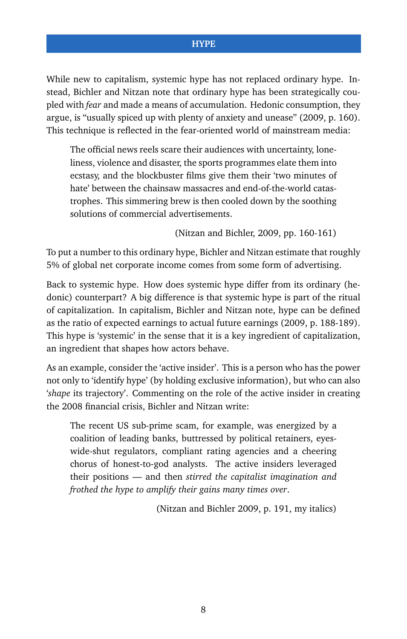While new to capitalism, systemic hype has not replaced ordinary hype. Instead, Bichler and Nitzan note that ordinary hype has been strategically coupled with *fear* and made a means of accumulation. Hedonic consumption, they argue, is "usually spiced up with plenty of anxiety and unease" (2009, p. 160). This technique is reflected in the fear-oriented world of mainstream media:

The official news reels scare their audiences with uncertainty, loneliness, violence and disaster, the sports programmes elate them into ecstasy, and the blockbuster films give them their 'two minutes of hate' between the chainsaw massacres and end-of-the-world catastrophes. This simmering brew is then cooled down by the soothing solutions of commercial advertisements.

(Nitzan and Bichler, 2009, pp. 160-161)

To put a number to this ordinary hype, Bichler and Nitzan estimate that roughly 5% of global net corporate income comes from some form of advertising.

Back to systemic hype. How does systemic hype differ from its ordinary (hedonic) counterpart? A big difference is that systemic hype is part of the ritual of capitalization. In capitalism, Bichler and Nitzan note, hype can be defined as the ratio of expected earnings to actual future earnings (2009, p. 188-189). This hype is 'systemic' in the sense that it is a key ingredient of capitalization, an ingredient that shapes how actors behave.

As an example, consider the 'active insider'. This is a person who has the power not only to 'identify hype' (by holding exclusive information), but who can also '*shape* its trajectory'. Commenting on the role of the active insider in creating the 2008 financial crisis, Bichler and Nitzan write:

The recent US sub-prime scam, for example, was energized by a coalition of leading banks, buttressed by political retainers, eyeswide-shut regulators, compliant rating agencies and a cheering chorus of honest-to-god analysts. The active insiders leveraged their positions — and then *stirred the capitalist imagination and frothed the hype to amplify their gains many times over*.

(Nitzan and Bichler 2009, p. 191, my italics)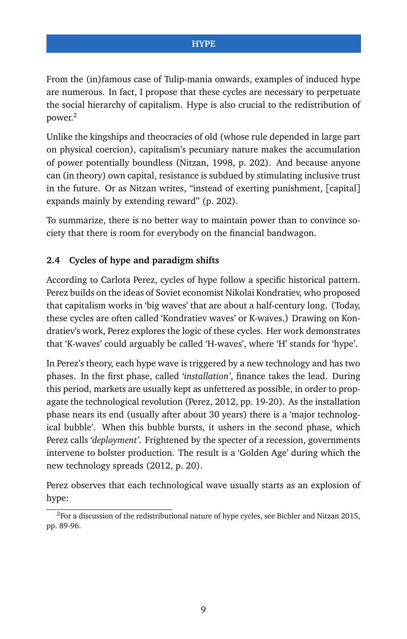From the (in)famous case of Tulip-mania onwards, examples of induced hype are numerous. In fact, I propose that these cycles are necessary to perpetuate the social hierarchy of capitalism. Hype is also crucial to the redistribution of power.[2](#page-0-0)

Unlike the kingships and theocracies of old (whose rule depended in large part on physical coercion), capitalism's pecuniary nature makes the accumulation of power potentially boundless (Nitzan, 1998, p. 202). And because anyone can (in theory) own capital, resistance is subdued by stimulating inclusive trust in the future. Or as Nitzan writes, "instead of exerting punishment, [capital] expands mainly by extending reward" (p. 202).

To summarize, there is no better way to maintain power than to convince society that there is room for everybody on the financial bandwagon.

## **2.4 Cycles of hype and paradigm shifts**

According to Carlota Perez, cycles of hype follow a specific historical pattern. Perez builds on the ideas of Soviet economist Nikolai Kondratiev, who proposed that capitalism works in 'big waves' that are about a half-century long. (Today, these cycles are often called 'Kondratiev waves' or K-waves.) Drawing on Kondratiev's work, Perez explores the logic of these cycles. Her work demonstrates that 'K-waves' could arguably be called 'H-waves', where 'H' stands for 'hype'.

In Perez's theory, each hype wave is triggered by a new technology and has two phases. In the first phase, called *'installation'*, finance takes the lead. During this period, markets are usually kept as unfettered as possible, in order to propagate the technological revolution (Perez, 2012, pp. 19-20). As the installation phase nears its end (usually after about 30 years) there is a 'major technological bubble'. When this bubble bursts, it ushers in the second phase, which Perez calls *'deployment'*. Frightened by the specter of a recession, governments intervene to bolster production. The result is a 'Golden Age' during which the new technology spreads (2012, p. 20).

Perez observes that each technological wave usually starts as an explosion of hype:

 ${}^{2}$ For a discussion of the redistributional nature of hype cycles, see Bichler and Nitzan 2015, pp. 89-96.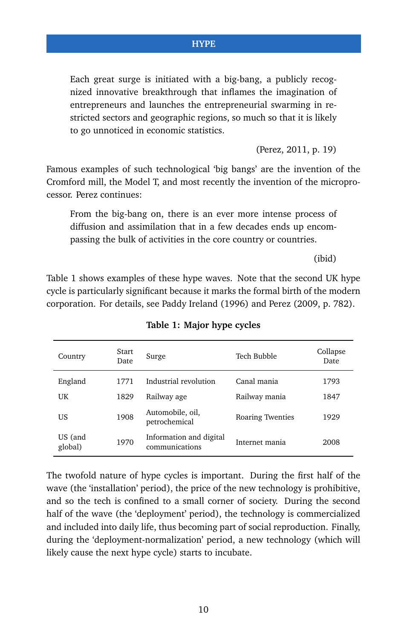Each great surge is initiated with a big-bang, a publicly recognized innovative breakthrough that inflames the imagination of entrepreneurs and launches the entrepreneurial swarming in restricted sectors and geographic regions, so much so that it is likely to go unnoticed in economic statistics.

(Perez, 2011, p. 19)

Famous examples of such technological 'big bangs' are the invention of the Cromford mill, the Model T, and most recently the invention of the microprocessor. Perez continues:

From the big-bang on, there is an ever more intense process of diffusion and assimilation that in a few decades ends up encompassing the bulk of activities in the core country or countries.

(ibid)

Table 1 shows examples of these hype waves. Note that the second UK hype cycle is particularly significant because it marks the formal birth of the modern corporation. For details, see Paddy Ireland (1996) and Perez (2009, p. 782).

| Country            | Start<br>Date | Surge                                     | Tech Bubble      | Collapse<br>Date |
|--------------------|---------------|-------------------------------------------|------------------|------------------|
| England            | 1771          | Industrial revolution                     | Canal mania      | 1793             |
| UK                 | 1829          | Railway age                               | Railway mania    | 1847             |
| US                 | 1908          | Automobile, oil,<br>petrochemical         | Roaring Twenties | 1929             |
| US (and<br>global) | 1970          | Information and digital<br>communications | Internet mania   | 2008             |

**Table 1: Major hype cycles**

The twofold nature of hype cycles is important. During the first half of the wave (the 'installation' period), the price of the new technology is prohibitive, and so the tech is confined to a small corner of society. During the second half of the wave (the 'deployment' period), the technology is commercialized and included into daily life, thus becoming part of social reproduction. Finally, during the 'deployment-normalization' period, a new technology (which will likely cause the next hype cycle) starts to incubate.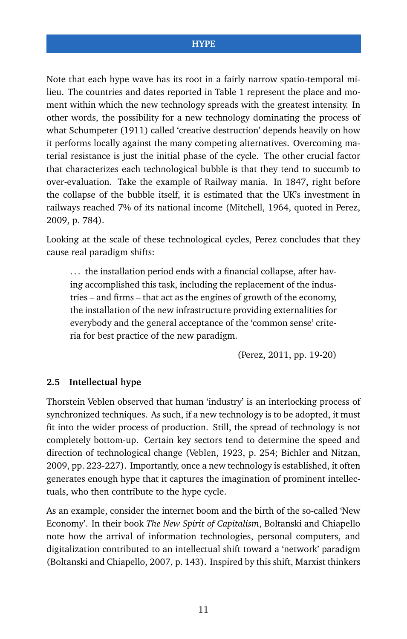Note that each hype wave has its root in a fairly narrow spatio-temporal milieu. The countries and dates reported in Table 1 represent the place and moment within which the new technology spreads with the greatest intensity. In other words, the possibility for a new technology dominating the process of what Schumpeter (1911) called 'creative destruction' depends heavily on how it performs locally against the many competing alternatives. Overcoming material resistance is just the initial phase of the cycle. The other crucial factor that characterizes each technological bubble is that they tend to succumb to over-evaluation. Take the example of Railway mania. In 1847, right before the collapse of the bubble itself, it is estimated that the UK's investment in railways reached 7% of its national income (Mitchell, 1964, quoted in Perez, 2009, p. 784).

Looking at the scale of these technological cycles, Perez concludes that they cause real paradigm shifts:

... the installation period ends with a financial collapse, after having accomplished this task, including the replacement of the industries – and firms – that act as the engines of growth of the economy, the installation of the new infrastructure providing externalities for everybody and the general acceptance of the 'common sense' criteria for best practice of the new paradigm.

(Perez, 2011, pp. 19-20)

#### **2.5 Intellectual hype**

Thorstein Veblen observed that human 'industry' is an interlocking process of synchronized techniques. As such, if a new technology is to be adopted, it must fit into the wider process of production. Still, the spread of technology is not completely bottom-up. Certain key sectors tend to determine the speed and direction of technological change (Veblen, 1923, p. 254; Bichler and Nitzan, 2009, pp. 223-227). Importantly, once a new technology is established, it often generates enough hype that it captures the imagination of prominent intellectuals, who then contribute to the hype cycle.

As an example, consider the internet boom and the birth of the so-called 'New Economy'. In their book *The New Spirit of Capitalism*, Boltanski and Chiapello note how the arrival of information technologies, personal computers, and digitalization contributed to an intellectual shift toward a 'network' paradigm (Boltanski and Chiapello, 2007, p. 143). Inspired by this shift, Marxist thinkers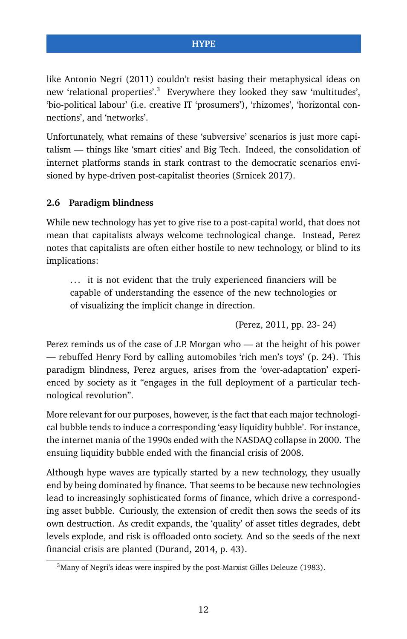like Antonio Negri (2011) couldn't resist basing their metaphysical ideas on new 'relational properties'.<sup>[3](#page-0-0)</sup> Everywhere they looked they saw 'multitudes', 'bio-political labour' (i.e. creative IT 'prosumers'), 'rhizomes', 'horizontal connections', and 'networks'.

Unfortunately, what remains of these 'subversive' scenarios is just more capitalism — things like 'smart cities' and Big Tech. Indeed, the consolidation of internet platforms stands in stark contrast to the democratic scenarios envisioned by hype-driven post-capitalist theories (Srnicek 2017).

#### **2.6 Paradigm blindness**

While new technology has yet to give rise to a post-capital world, that does not mean that capitalists always welcome technological change. Instead, Perez notes that capitalists are often either hostile to new technology, or blind to its implications:

... it is not evident that the truly experienced financiers will be capable of understanding the essence of the new technologies or of visualizing the implicit change in direction.

(Perez, 2011, pp. 23- 24)

Perez reminds us of the case of J.P. Morgan who — at the height of his power — rebuffed Henry Ford by calling automobiles 'rich men's toys' (p. 24). This paradigm blindness, Perez argues, arises from the 'over-adaptation' experienced by society as it "engages in the full deployment of a particular technological revolution".

More relevant for our purposes, however, is the fact that each major technological bubble tends to induce a corresponding 'easy liquidity bubble'. For instance, the internet mania of the 1990s ended with the NASDAQ collapse in 2000. The ensuing liquidity bubble ended with the financial crisis of 2008.

Although hype waves are typically started by a new technology, they usually end by being dominated by finance. That seems to be because new technologies lead to increasingly sophisticated forms of finance, which drive a corresponding asset bubble. Curiously, the extension of credit then sows the seeds of its own destruction. As credit expands, the 'quality' of asset titles degrades, debt levels explode, and risk is offloaded onto society. And so the seeds of the next financial crisis are planted (Durand, 2014, p. 43).

<sup>3</sup>Many of Negri's ideas were inspired by the post-Marxist Gilles Deleuze (1983).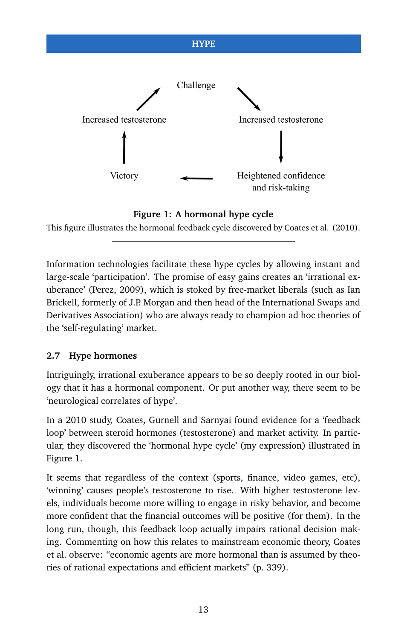<span id="page-12-0"></span>

#### **Figure 1: A hormonal hype cycle**

This figure illustrates the hormonal feedback cycle discovered by Coates et al. (2010).

Information technologies facilitate these hype cycles by allowing instant and large-scale 'participation'. The promise of easy gains creates an 'irrational exuberance' (Perez, 2009), which is stoked by free-market liberals (such as Ian Brickell, formerly of J.P. Morgan and then head of the International Swaps and Derivatives Association) who are always ready to champion ad hoc theories of the 'self-regulating' market.

## **2.7 Hype hormones**

Intriguingly, irrational exuberance appears to be so deeply rooted in our biology that it has a hormonal component. Or put another way, there seem to be 'neurological correlates of hype'.

In a 2010 study, Coates, Gurnell and Sarnyai found evidence for a 'feedback loop' between steroid hormones (testosterone) and market activity. In particular, they discovered the 'hormonal hype cycle' (my expression) illustrated in Figure [1.](#page-12-0)

It seems that regardless of the context (sports, finance, video games, etc), 'winning' causes people's testosterone to rise. With higher testosterone levels, individuals become more willing to engage in risky behavior, and become more confident that the financial outcomes will be positive (for them). In the long run, though, this feedback loop actually impairs rational decision making. Commenting on how this relates to mainstream economic theory, Coates et al. observe: "economic agents are more hormonal than is assumed by theories of rational expectations and efficient markets" (p. 339).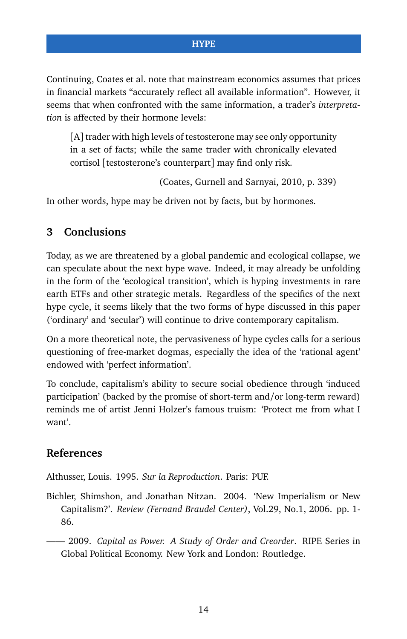Continuing, Coates et al. note that mainstream economics assumes that prices in financial markets "accurately reflect all available information". However, it seems that when confronted with the same information, a trader's *interpretation* is affected by their hormone levels:

[A] trader with high levels of testosterone may see only opportunity in a set of facts; while the same trader with chronically elevated cortisol [testosterone's counterpart] may find only risk.

(Coates, Gurnell and Sarnyai, 2010, p. 339)

In other words, hype may be driven not by facts, but by hormones.

# **3 Conclusions**

Today, as we are threatened by a global pandemic and ecological collapse, we can speculate about the next hype wave. Indeed, it may already be unfolding in the form of the 'ecological transition', which is hyping investments in rare earth ETFs and other strategic metals. Regardless of the specifics of the next hype cycle, it seems likely that the two forms of hype discussed in this paper ('ordinary' and 'secular') will continue to drive contemporary capitalism.

On a more theoretical note, the pervasiveness of hype cycles calls for a serious questioning of free-market dogmas, especially the idea of the 'rational agent' endowed with 'perfect information'.

To conclude, capitalism's ability to secure social obedience through 'induced participation' (backed by the promise of short-term and/or long-term reward) reminds me of artist Jenni Holzer's famous truism: 'Protect me from what I want'.

# **References**

Althusser, Louis. 1995. *Sur la Reproduction*. Paris: PUF.

Bichler, Shimshon, and Jonathan Nitzan. 2004. 'New Imperialism or New Capitalism?'. *Review (Fernand Braudel Center)*, Vol.29, No.1, 2006. pp. 1- 86.

—— 2009. *Capital as Power. A Study of Order and Creorder*. RIPE Series in Global Political Economy. New York and London: Routledge.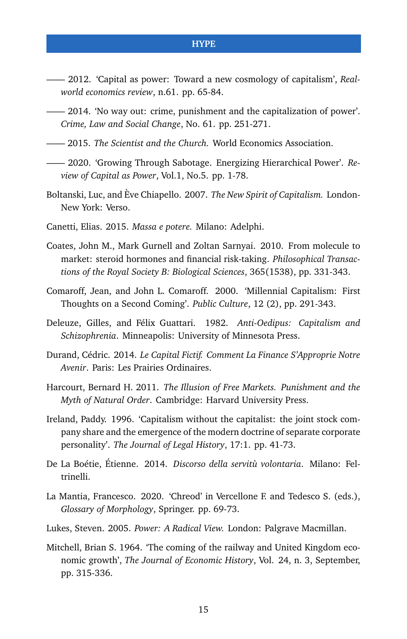- —— 2012. 'Capital as power: Toward a new cosmology of capitalism', *Realworld economics review*, n.61. pp. 65-84.
- —— 2014. 'No way out: crime, punishment and the capitalization of power'. *Crime, Law and Social Change*, No. 61. pp. 251-271.
- —— 2015. *The Scientist and the Church.* World Economics Association.
- —— 2020. 'Growing Through Sabotage. Energizing Hierarchical Power'. *Review of Capital as Power*, Vol.1, No.5. pp. 1-78.
- Boltanski, Luc, and Ève Chiapello. 2007. *The New Spirit of Capitalism.* London-New York: Verso.
- Canetti, Elias. 2015. *Massa e potere.* Milano: Adelphi.
- Coates, John M., Mark Gurnell and Zoltan Sarnyai. 2010. From molecule to market: steroid hormones and financial risk-taking. *Philosophical Transactions of the Royal Society B: Biological Sciences*, 365(1538), pp. 331-343.
- Comaroff, Jean, and John L. Comaroff. 2000. 'Millennial Capitalism: First Thoughts on a Second Coming'. *Public Culture*, 12 (2), pp. 291-343.
- Deleuze, Gilles, and Félix Guattari. 1982. *Anti-Oedipus: Capitalism and Schizophrenia*. Minneapolis: University of Minnesota Press.
- Durand, Cédric. 2014. *Le Capital Fictif. Comment La Finance S'Approprie Notre Avenir*. Paris: Les Prairies Ordinaires.
- Harcourt, Bernard H. 2011. *The Illusion of Free Markets. Punishment and the Myth of Natural Order*. Cambridge: Harvard University Press.
- Ireland, Paddy. 1996. 'Capitalism without the capitalist: the joint stock company share and the emergence of the modern doctrine of separate corporate personality'. *The Journal of Legal History*, 17:1. pp. 41-73.
- De La Boétie, Étienne. 2014. *Discorso della servitù volontaria*. Milano: Feltrinelli.
- La Mantia, Francesco. 2020. 'Chreod' in Vercellone F. and Tedesco S. (eds.), *Glossary of Morphology*, Springer. pp. 69-73.
- Lukes, Steven. 2005. *Power: A Radical View.* London: Palgrave Macmillan.
- Mitchell, Brian S. 1964. 'The coming of the railway and United Kingdom economic growth', *The Journal of Economic History*, Vol. 24, n. 3, September, pp. 315-336.